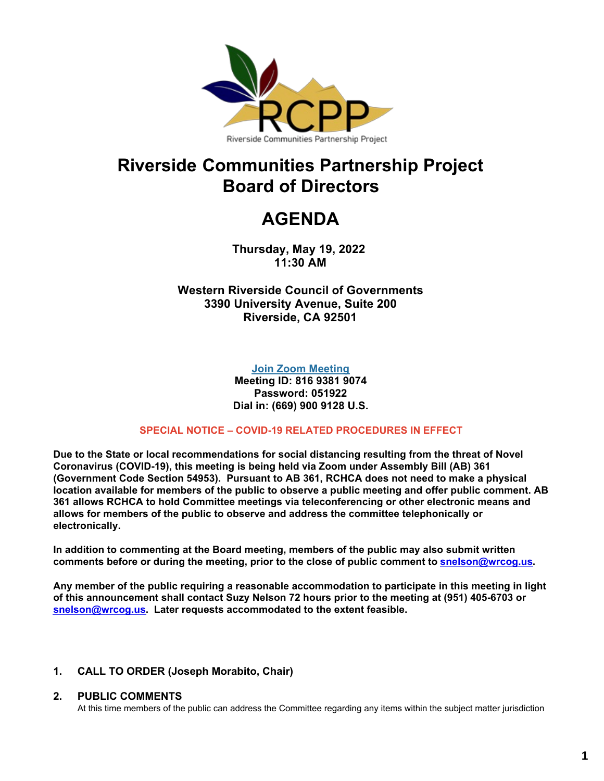

# **Riverside Communities Partnership Project Board of Directors**

# **AGENDA**

**Thursday, May 19, 2022 11:30 AM**

**Western Riverside Council of Governments 3390 University Avenue, Suite 200 Riverside, CA 92501**

**[Join Zoom Meeting](https://us02web.zoom.us/j/81693819074?pwd=NGZZWHczbnlyOGlsLzdmZWgyUXJjUT09)**

**Meeting ID: 816 9381 9074 Password: 051922 Dial in: (669) 900 9128 U.S.**

#### **SPECIAL NOTICE – COVID-19 RELATED PROCEDURES IN EFFECT**

**Due to the State or local recommendations for social distancing resulting from the threat of Novel Coronavirus (COVID-19), this meeting is being held via Zoom under Assembly Bill (AB) 361 (Government Code Section 54953). Pursuant to AB 361, RCHCA does not need to make a physical location available for members of the public to observe a public meeting and offer public comment. AB 361 allows RCHCA to hold Committee meetings via teleconferencing or other electronic means and allows for members of the public to observe and address the committee telephonically or electronically.**

**In addition to commenting at the Board meeting, members of the public may also submit written comments before or during the meeting, prior to the close of public comment to [snelson@wrcog.us](mailto:snelson@wrcog.us).**

**Any member of the public requiring a reasonable accommodation to participate in this meeting in light of this announcement shall contact Suzy Nelson 72 hours prior to the meeting at (951) 405-6703 or [snelson@wrcog.us.](mailto:snelson@wrcog.us) Later requests accommodated to the extent feasible.**

#### **1. CALL TO ORDER (Joseph Morabito, Chair)**

#### **2. PUBLIC COMMENTS**

At this time members of the public can address the Committee regarding any items within the subject matter jurisdiction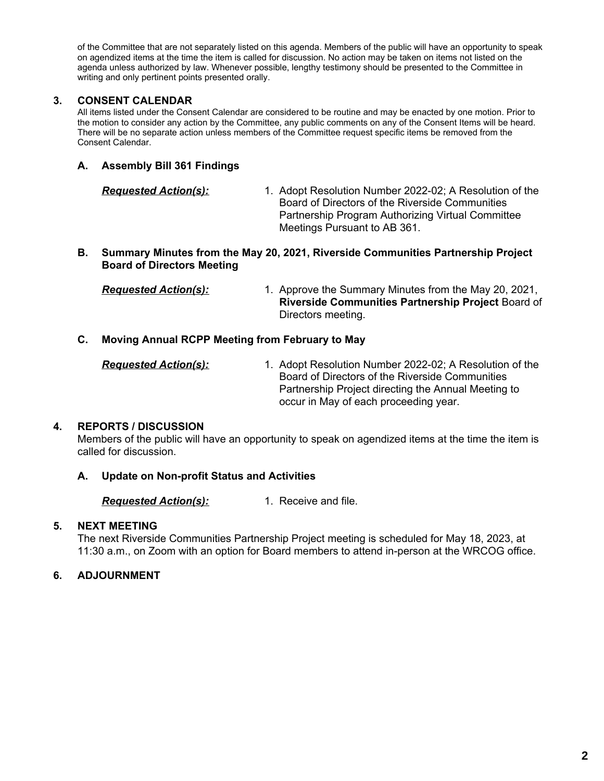of the Committee that are not separately listed on this agenda. Members of the public will have an opportunity to speak on agendized items at the time the item is called for discussion. No action may be taken on items not listed on the agenda unless authorized by law. Whenever possible, lengthy testimony should be presented to the Committee in writing and only pertinent points presented orally.

#### **3. CONSENT CALENDAR**

All items listed under the Consent Calendar are considered to be routine and may be enacted by one motion. Prior to the motion to consider any action by the Committee, any public comments on any of the Consent Items will be heard. There will be no separate action unless members of the Committee request specific items be removed from the Consent Calendar.

#### **A. Assembly Bill 361 Findings**

| <b>Requested Action(s):</b> | 1. Adopt Resolution Number 2022-02; A Resolution of the |
|-----------------------------|---------------------------------------------------------|
|                             | Board of Directors of the Riverside Communities         |
|                             | Partnership Program Authorizing Virtual Committee       |
|                             | Meetings Pursuant to AB 361.                            |

#### **B. Summary Minutes from the May 20, 2021, Riverside Communities Partnership Project Board of Directors Meeting**

| <b>Requested Action(s):</b> | 1. Approve the Summary Minutes from the May 20, 2021,     |
|-----------------------------|-----------------------------------------------------------|
|                             | <b>Riverside Communities Partnership Project Board of</b> |
|                             | Directors meeting.                                        |

#### **C. Moving Annual RCPP Meeting from February to May**

| <u> Requested Action(s):</u> | 1. Adopt Resolution Number 2022-02; A Resolution of the |
|------------------------------|---------------------------------------------------------|
|                              | Board of Directors of the Riverside Communities         |
|                              | Partnership Project directing the Annual Meeting to     |
|                              | occur in May of each proceeding year.                   |

#### **4. REPORTS / DISCUSSION**

Members of the public will have an opportunity to speak on agendized items at the time the item is called for discussion.

#### **A. Update on Non-profit Status and Activities**

*Requested Action(s):* 1. Receive and file.

#### **5. NEXT MEETING**

The next Riverside Communities Partnership Project meeting is scheduled for May 18, 2023, at 11:30 a.m., on Zoom with an option for Board members to attend in-person at the WRCOG office.

#### **6. ADJOURNMENT**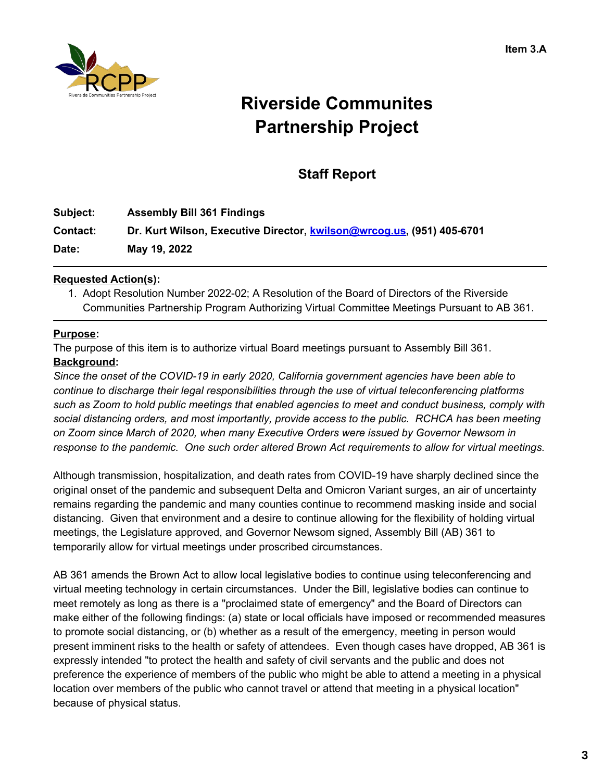

# **Riverside Communites Partnership Project**

# **Staff Report**

| Subject:        | <b>Assembly Bill 361 Findings</b>                                     |
|-----------------|-----------------------------------------------------------------------|
| <b>Contact:</b> | Dr. Kurt Wilson, Executive Director, kwilson@wrcog.us, (951) 405-6701 |
| Date:           | May 19, 2022                                                          |

## **Requested Action(s):**

1. Adopt Resolution Number 2022-02; A Resolution of the Board of Directors of the Riverside Communities Partnership Program Authorizing Virtual Committee Meetings Pursuant to AB 361.

## **Purpose:**

The purpose of this item is to authorize virtual Board meetings pursuant to Assembly Bill 361.

# **Background:**

*Since the onset of the COVID-19 in early 2020, California government agencies have been able to continue to discharge their legal responsibilities through the use of virtual teleconferencing platforms such as Zoom to hold public meetings that enabled agencies to meet and conduct business, comply with social distancing orders, and most importantly, provide access to the public. RCHCA has been meeting on Zoom since March of 2020, when many Executive Orders were issued by Governor Newsom in response to the pandemic. One such order altered Brown Act requirements to allow for virtual meetings.*

Although transmission, hospitalization, and death rates from COVID-19 have sharply declined since the original onset of the pandemic and subsequent Delta and Omicron Variant surges, an air of uncertainty remains regarding the pandemic and many counties continue to recommend masking inside and social distancing. Given that environment and a desire to continue allowing for the flexibility of holding virtual meetings, the Legislature approved, and Governor Newsom signed, Assembly Bill (AB) 361 to temporarily allow for virtual meetings under proscribed circumstances.

AB 361 amends the Brown Act to allow local legislative bodies to continue using teleconferencing and virtual meeting technology in certain circumstances. Under the Bill, legislative bodies can continue to meet remotely as long as there is a "proclaimed state of emergency" and the Board of Directors can make either of the following findings: (a) state or local officials have imposed or recommended measures to promote social distancing, or (b) whether as a result of the emergency, meeting in person would present imminent risks to the health or safety of attendees. Even though cases have dropped, AB 361 is expressly intended "to protect the health and safety of civil servants and the public and does not preference the experience of members of the public who might be able to attend a meeting in a physical location over members of the public who cannot travel or attend that meeting in a physical location" because of physical status.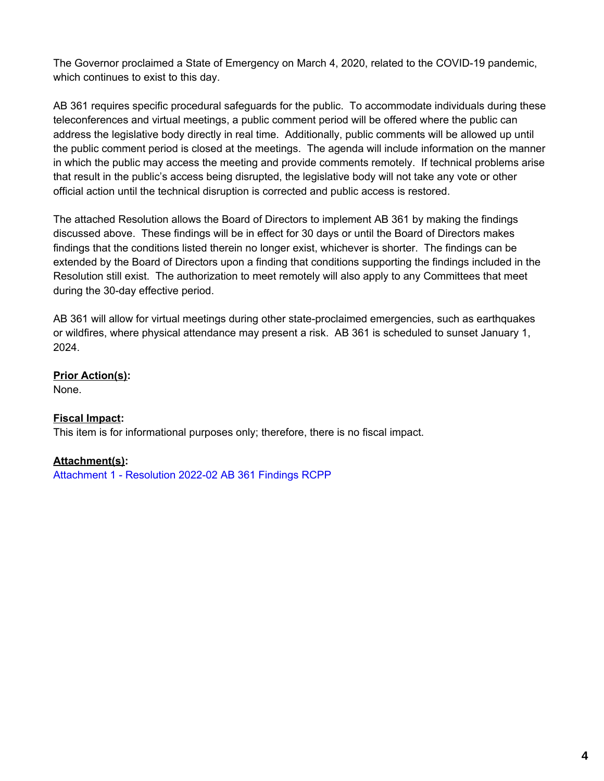The Governor proclaimed a State of Emergency on March 4, 2020, related to the COVID-19 pandemic, which continues to exist to this day.

AB 361 requires specific procedural safeguards for the public. To accommodate individuals during these teleconferences and virtual meetings, a public comment period will be offered where the public can address the legislative body directly in real time. Additionally, public comments will be allowed up until the public comment period is closed at the meetings. The agenda will include information on the manner in which the public may access the meeting and provide comments remotely. If technical problems arise that result in the public's access being disrupted, the legislative body will not take any vote or other official action until the technical disruption is corrected and public access is restored.

The attached Resolution allows the Board of Directors to implement AB 361 by making the findings discussed above. These findings will be in effect for 30 days or until the Board of Directors makes findings that the conditions listed therein no longer exist, whichever is shorter. The findings can be extended by the Board of Directors upon a finding that conditions supporting the findings included in the Resolution still exist. The authorization to meet remotely will also apply to any Committees that meet during the 30-day effective period.

AB 361 will allow for virtual meetings during other state-proclaimed emergencies, such as earthquakes or wildfires, where physical attendance may present a risk. AB 361 is scheduled to sunset January 1, 2024.

**Prior Action(s):**

None.

## **Fiscal Impact:**

This item is for informational purposes only; therefore, there is no fiscal impact.

## **Attachment(s):**

[Attachment](https://legistarweb-production.s3.amazonaws.com/uploads/attachment/pdf/1378848/Resolution_2022-01_AB_361_Findings_RCPP.pdf) 1 - Resolution 2022-02 AB 361 Findings RCPP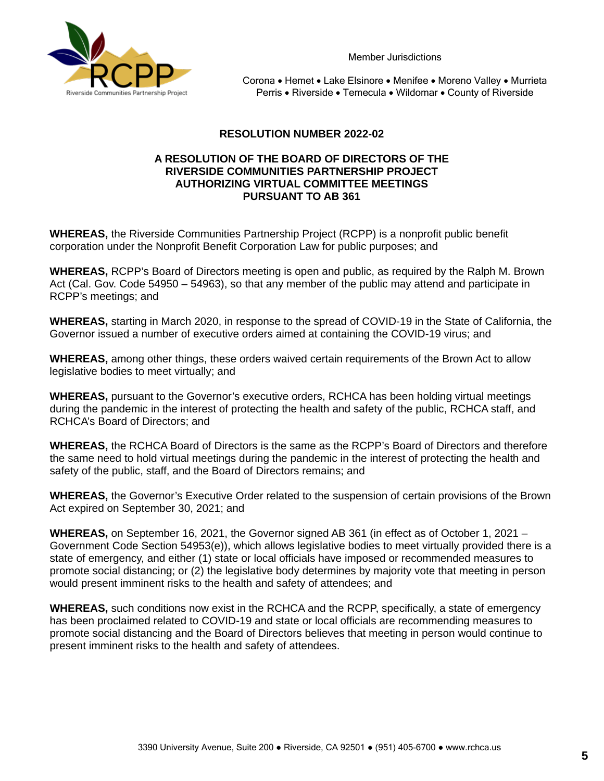

Member Jurisdictions

Corona • Hemet • Lake Elsinore • Menifee • Moreno Valley • Murrieta Perris • Riverside • Temecula • Wildomar • County of Riverside

#### **RESOLUTION NUMBER 2022-02**

#### **A RESOLUTION OF THE BOARD OF DIRECTORS OF THE RIVERSIDE COMMUNITIES PARTNERSHIP PROJECT AUTHORIZING VIRTUAL COMMITTEE MEETINGS PURSUANT TO AB 361**

**WHEREAS,** the Riverside Communities Partnership Project (RCPP) is a nonprofit public benefit corporation under the Nonprofit Benefit Corporation Law for public purposes; and

**WHEREAS,** RCPP's Board of Directors meeting is open and public, as required by the Ralph M. Brown Act (Cal. Gov. Code 54950 – 54963), so that any member of the public may attend and participate in RCPP's meetings; and

**WHEREAS,** starting in March 2020, in response to the spread of COVID-19 in the State of California, the Governor issued a number of executive orders aimed at containing the COVID-19 virus; and

**WHEREAS,** among other things, these orders waived certain requirements of the Brown Act to allow legislative bodies to meet virtually; and

**WHEREAS,** pursuant to the Governor's executive orders, RCHCA has been holding virtual meetings during the pandemic in the interest of protecting the health and safety of the public, RCHCA staff, and RCHCA's Board of Directors; and

**WHEREAS,** the RCHCA Board of Directors is the same as the RCPP's Board of Directors and therefore the same need to hold virtual meetings during the pandemic in the interest of protecting the health and safety of the public, staff, and the Board of Directors remains; and

**WHEREAS,** the Governor's Executive Order related to the suspension of certain provisions of the Brown Act expired on September 30, 2021; and

**WHEREAS,** on September 16, 2021, the Governor signed AB 361 (in effect as of October 1, 2021 – Government Code Section 54953(e)), which allows legislative bodies to meet virtually provided there is a state of emergency, and either (1) state or local officials have imposed or recommended measures to promote social distancing; or (2) the legislative body determines by majority vote that meeting in person would present imminent risks to the health and safety of attendees; and

**WHEREAS,** such conditions now exist in the RCHCA and the RCPP, specifically, a state of emergency has been proclaimed related to COVID-19 and state or local officials are recommending measures to promote social distancing and the Board of Directors believes that meeting in person would continue to present imminent risks to the health and safety of attendees.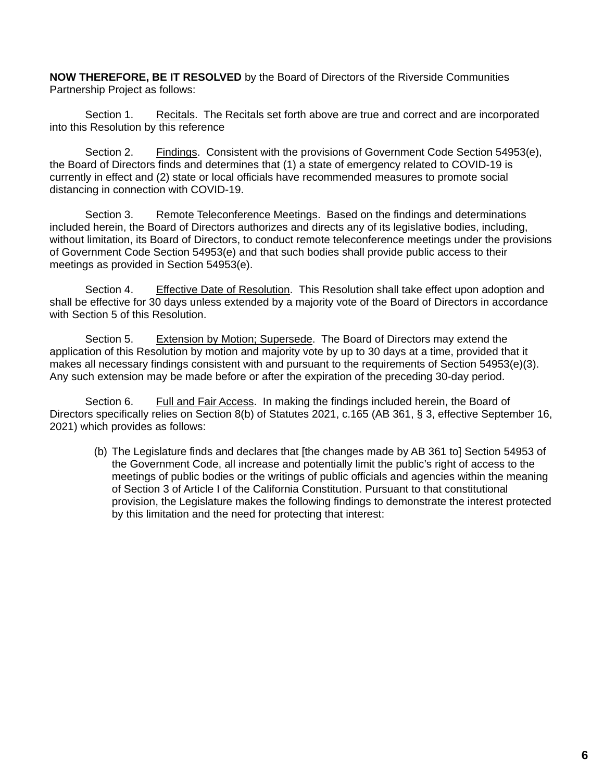**NOW THEREFORE, BE IT RESOLVED** by the Board of Directors of the Riverside Communities Partnership Project as follows:

Section 1. Recitals. The Recitals set forth above are true and correct and are incorporated into this Resolution by this reference

Section 2. Findings. Consistent with the provisions of Government Code Section 54953(e), the Board of Directors finds and determines that (1) a state of emergency related to COVID-19 is currently in effect and (2) state or local officials have recommended measures to promote social distancing in connection with COVID-19.

Section 3. Remote Teleconference Meetings. Based on the findings and determinations included herein, the Board of Directors authorizes and directs any of its legislative bodies, including, without limitation, its Board of Directors, to conduct remote teleconference meetings under the provisions of Government Code Section 54953(e) and that such bodies shall provide public access to their meetings as provided in Section 54953(e).

Section 4. Effective Date of Resolution. This Resolution shall take effect upon adoption and shall be effective for 30 days unless extended by a majority vote of the Board of Directors in accordance with Section 5 of this Resolution.

Section 5. Extension by Motion; Supersede. The Board of Directors may extend the application of this Resolution by motion and majority vote by up to 30 days at a time, provided that it makes all necessary findings consistent with and pursuant to the requirements of Section 54953(e)(3). Any such extension may be made before or after the expiration of the preceding 30-day period.

Section 6. Full and Fair Access. In making the findings included herein, the Board of Directors specifically relies on Section 8(b) of Statutes 2021, c.165 (AB 361, § 3, effective September 16, 2021) which provides as follows:

(b) The Legislature finds and declares that [the changes made by AB 361 to] Section 54953 of the Government Code, all increase and potentially limit the public's right of access to the meetings of public bodies or the writings of public officials and agencies within the meaning of Section 3 of Article I of the California Constitution. Pursuant to that constitutional provision, the Legislature makes the following findings to demonstrate the interest protected by this limitation and the need for protecting that interest: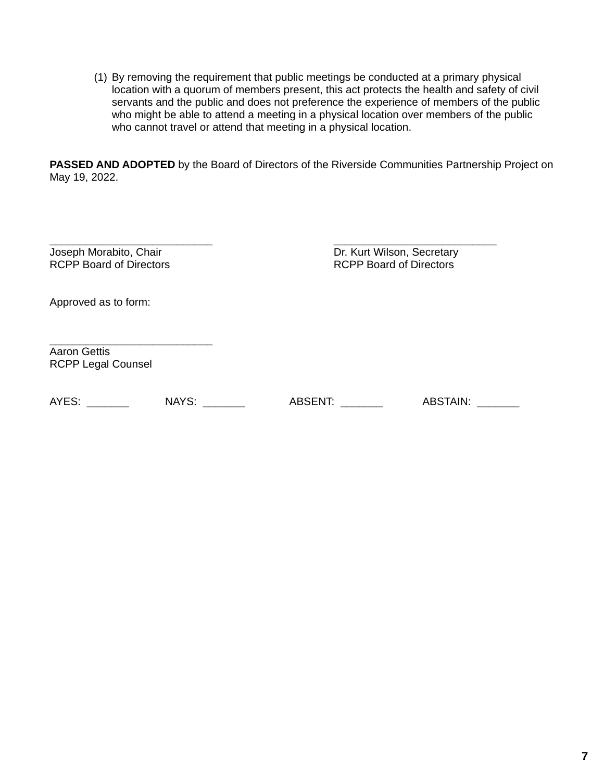(1) By removing the requirement that public meetings be conducted at a primary physical location with a quorum of members present, this act protects the health and safety of civil servants and the public and does not preference the experience of members of the public who might be able to attend a meeting in a physical location over members of the public who cannot travel or attend that meeting in a physical location.

**PASSED AND ADOPTED** by the Board of Directors of the Riverside Communities Partnership Project on May 19, 2022.

\_\_\_\_\_\_\_\_\_\_\_\_\_\_\_\_\_\_\_\_\_\_\_\_\_\_\_ \_\_\_\_\_\_\_\_\_\_\_\_\_\_\_\_\_\_\_\_\_\_\_\_\_\_\_ RCPP Board of Directors

Joseph Morabito, Chair **Dr. Kurt Wilson, Secretary**<br>
RCPP Board of Directors **CPP Board of Directors** 

Approved as to form:

\_\_\_\_\_\_\_\_\_\_\_\_\_\_\_\_\_\_\_\_\_\_\_\_\_\_\_ Aaron Gettis RCPP Legal Counsel

AYES: \_\_\_\_\_\_\_ NAYS: \_\_\_\_\_\_\_ ABSENT: \_\_\_\_\_\_\_ ABSTAIN: \_\_\_\_\_\_\_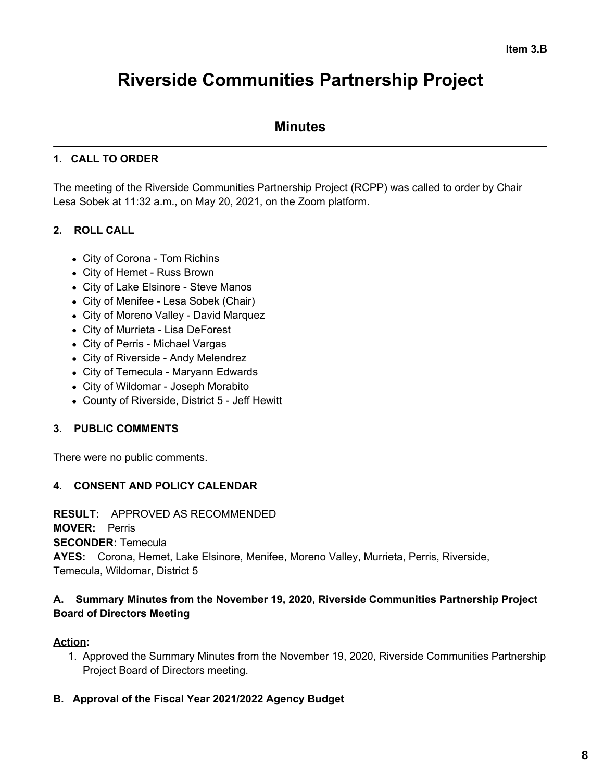# **Riverside Communities Partnership Project**

# **Minutes**

# **1. CALL TO ORDER**

The meeting of the Riverside Communities Partnership Project (RCPP) was called to order by Chair Lesa Sobek at 11:32 a.m., on May 20, 2021, on the Zoom platform.

# **2. ROLL CALL**

- City of Corona Tom Richins
- City of Hemet Russ Brown
- City of Lake Elsinore Steve Manos
- City of Menifee Lesa Sobek (Chair)
- City of Moreno Valley David Marquez
- City of Murrieta Lisa DeForest
- City of Perris Michael Vargas
- City of Riverside Andy Melendrez
- City of Temecula Maryann Edwards
- City of Wildomar Joseph Morabito
- County of Riverside, District 5 Jeff Hewitt

## **3. PUBLIC COMMENTS**

There were no public comments.

## **4. CONSENT AND POLICY CALENDAR**

#### **RESULT:** APPROVED AS RECOMMENDED

**MOVER:** Perris

**SECONDER:** Temecula

**AYES:** Corona, Hemet, Lake Elsinore, Menifee, Moreno Valley, Murrieta, Perris, Riverside, Temecula, Wildomar, District 5

# **A. Summary Minutes from the November 19, 2020, Riverside Communities Partnership Project Board of Directors Meeting**

## **Action:**

1. Approved the Summary Minutes from the November 19, 2020, Riverside Communities Partnership Project Board of Directors meeting.

## **B. Approval of the Fiscal Year 2021/2022 Agency Budget**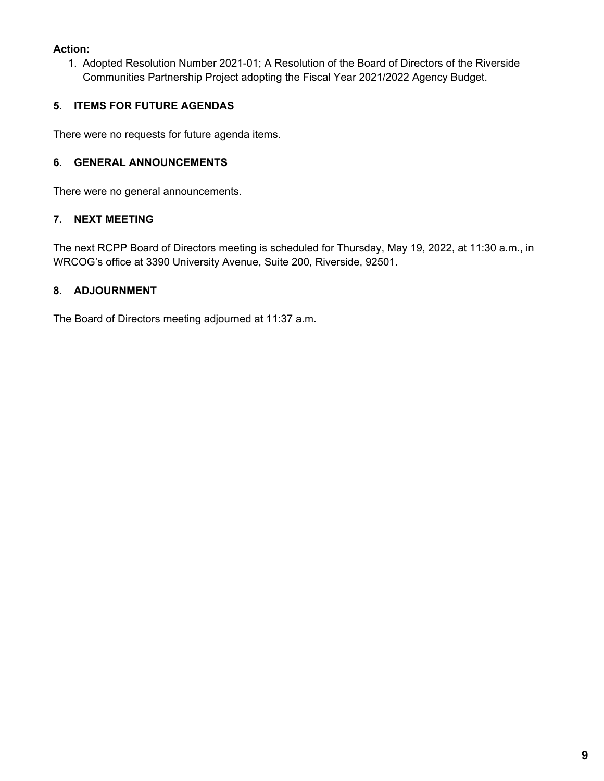## **Action:**

1. Adopted Resolution Number 2021-01; A Resolution of the Board of Directors of the Riverside Communities Partnership Project adopting the Fiscal Year 2021/2022 Agency Budget.

# **5. ITEMS FOR FUTURE AGENDAS**

There were no requests for future agenda items.

# **6. GENERAL ANNOUNCEMENTS**

There were no general announcements.

# **7. NEXT MEETING**

The next RCPP Board of Directors meeting is scheduled for Thursday, May 19, 2022, at 11:30 a.m., in WRCOG's office at 3390 University Avenue, Suite 200, Riverside, 92501.

# **8. ADJOURNMENT**

The Board of Directors meeting adjourned at 11:37 a.m.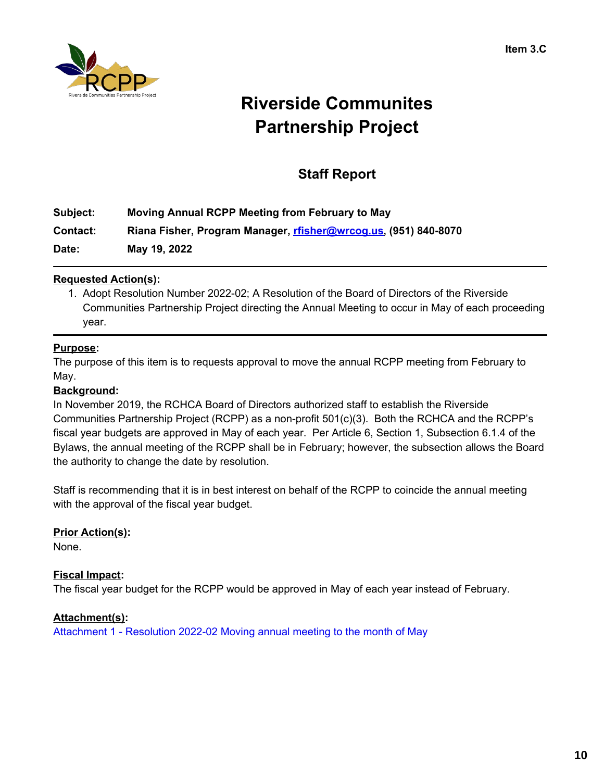

# **Riverside Communites Partnership Project**

# **Staff Report**

| Subject:        | Moving Annual RCPP Meeting from February to May                 |
|-----------------|-----------------------------------------------------------------|
| <b>Contact:</b> | Riana Fisher, Program Manager, rfisher@wrcog.us, (951) 840-8070 |

**Date: May 19, 2022**

## **Requested Action(s):**

1. Adopt Resolution Number 2022-02; A Resolution of the Board of Directors of the Riverside Communities Partnership Project directing the Annual Meeting to occur in May of each proceeding year.

## **Purpose:**

The purpose of this item is to requests approval to move the annual RCPP meeting from February to May.

#### **Background:**

In November 2019, the RCHCA Board of Directors authorized staff to establish the Riverside Communities Partnership Project (RCPP) as a non-profit 501(c)(3). Both the RCHCA and the RCPP's fiscal year budgets are approved in May of each year. Per Article 6, Section 1, Subsection 6.1.4 of the Bylaws, the annual meeting of the RCPP shall be in February; however, the subsection allows the Board the authority to change the date by resolution.

Staff is recommending that it is in best interest on behalf of the RCPP to coincide the annual meeting with the approval of the fiscal year budget.

## **Prior Action(s):**

None.

## **Fiscal Impact:**

The fiscal year budget for the RCPP would be approved in May of each year instead of February.

## **Attachment(s):**

[Attachment](https://legistarweb-production.s3.amazonaws.com/uploads/attachment/pdf/1376172/Resolution_2022-02_Moving_annual_meeting_to_the_month_of_May.pdf) 1 - Resolution 2022-02 Moving annual meeting to the month of May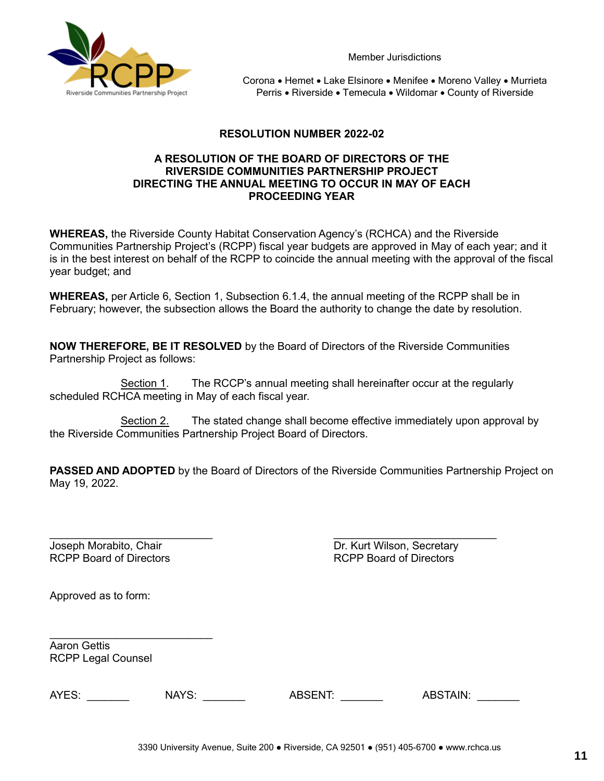

Member Jurisdictions

Corona • Hemet • Lake Elsinore • Menifee • Moreno Valley • Murrieta Perris • Riverside • Temecula • Wildomar • County of Riverside

#### **RESOLUTION NUMBER 2022-02**

#### **A RESOLUTION OF THE BOARD OF DIRECTORS OF THE RIVERSIDE COMMUNITIES PARTNERSHIP PROJECT DIRECTING THE ANNUAL MEETING TO OCCUR IN MAY OF EACH PROCEEDING YEAR**

**WHEREAS,** the Riverside County Habitat Conservation Agency's (RCHCA) and the Riverside Communities Partnership Project's (RCPP) fiscal year budgets are approved in May of each year; and it is in the best interest on behalf of the RCPP to coincide the annual meeting with the approval of the fiscal year budget; and

**WHEREAS,** per Article 6, Section 1, Subsection 6.1.4, the annual meeting of the RCPP shall be in February; however, the subsection allows the Board the authority to change the date by resolution.

**NOW THEREFORE, BE IT RESOLVED** by the Board of Directors of the Riverside Communities Partnership Project as follows:

Section 1. The RCCP's annual meeting shall hereinafter occur at the regularly scheduled RCHCA meeting in May of each fiscal year.

Section 2. The stated change shall become effective immediately upon approval by the Riverside Communities Partnership Project Board of Directors.

**PASSED AND ADOPTED** by the Board of Directors of the Riverside Communities Partnership Project on May 19, 2022.

\_\_\_\_\_\_\_\_\_\_\_\_\_\_\_\_\_\_\_\_\_\_\_\_\_\_\_ \_\_\_\_\_\_\_\_\_\_\_\_\_\_\_\_\_\_\_\_\_\_\_\_\_\_\_ Joseph Morabito, Chair **Dr. Kurt Wilson, Secretary** RCPP Board of Directors RCPP Board of Directors

Approved as to form:

Aaron Gettis RCPP Legal Counsel

\_\_\_\_\_\_\_\_\_\_\_\_\_\_\_\_\_\_\_\_\_\_\_\_\_\_\_

AYES: \_\_\_\_\_\_\_\_\_ NAYS: \_\_\_\_\_\_\_ ABSENT: \_\_\_\_\_\_ ABSTAIN: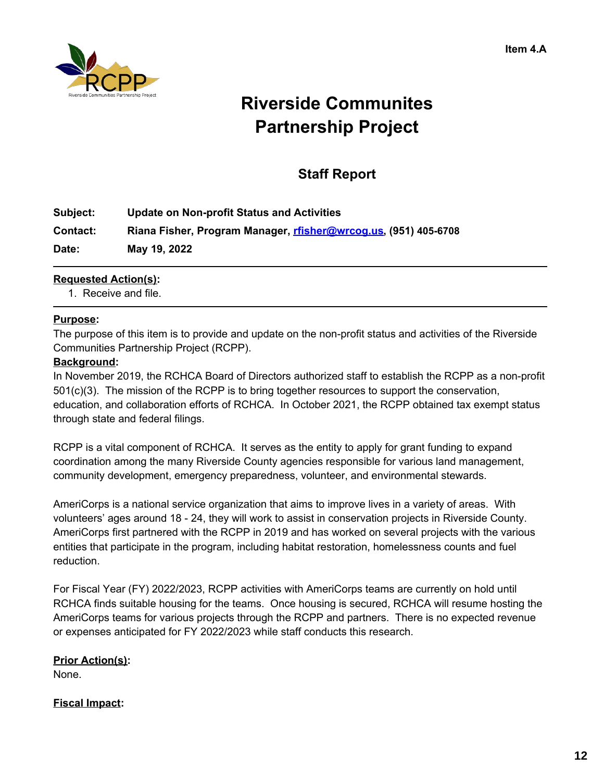

# **Riverside Communites Partnership Project**

# **Staff Report**

| Subject: | <b>Update on Non-profit Status and Activities</b>               |
|----------|-----------------------------------------------------------------|
| Contact: | Riana Fisher, Program Manager, rfisher@wrcog.us, (951) 405-6708 |
| Date:    | May 19, 2022                                                    |

## **Requested Action(s):**

1. Receive and file.

#### **Purpose:**

The purpose of this item is to provide and update on the non-profit status and activities of the Riverside Communities Partnership Project (RCPP).

#### **Background:**

In November 2019, the RCHCA Board of Directors authorized staff to establish the RCPP as a non-profit 501(c)(3). The mission of the RCPP is to bring together resources to support the conservation, education, and collaboration efforts of RCHCA. In October 2021, the RCPP obtained tax exempt status through state and federal filings.

RCPP is a vital component of RCHCA. It serves as the entity to apply for grant funding to expand coordination among the many Riverside County agencies responsible for various land management, community development, emergency preparedness, volunteer, and environmental stewards.

AmeriCorps is a national service organization that aims to improve lives in a variety of areas. With volunteers' ages around 18 - 24, they will work to assist in conservation projects in Riverside County. AmeriCorps first partnered with the RCPP in 2019 and has worked on several projects with the various entities that participate in the program, including habitat restoration, homelessness counts and fuel reduction.

For Fiscal Year (FY) 2022/2023, RCPP activities with AmeriCorps teams are currently on hold until RCHCA finds suitable housing for the teams. Once housing is secured, RCHCA will resume hosting the AmeriCorps teams for various projects through the RCPP and partners. There is no expected revenue or expenses anticipated for FY 2022/2023 while staff conducts this research.

#### **Prior Action(s):**

None.

#### **Fiscal Impact:**